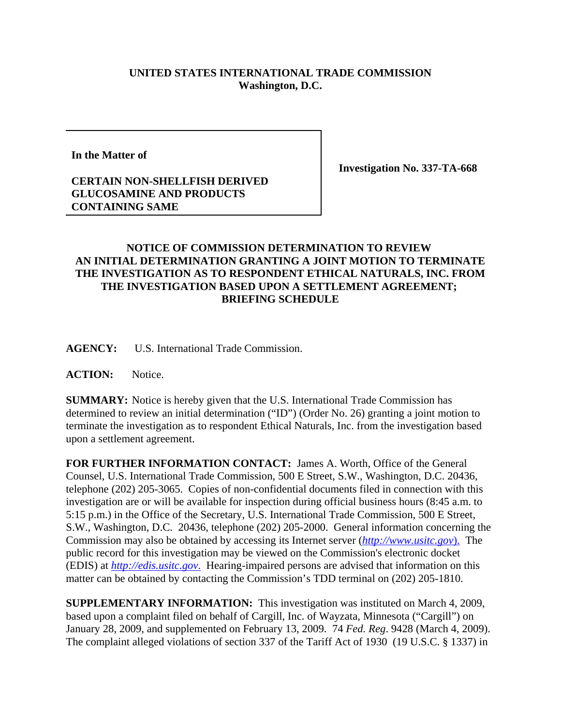## **UNITED STATES INTERNATIONAL TRADE COMMISSION Washington, D.C.**

**In the Matter of**

## **CERTAIN NON-SHELLFISH DERIVED GLUCOSAMINE AND PRODUCTS CONTAINING SAME**

**Investigation No. 337-TA-668**

## **NOTICE OF COMMISSION DETERMINATION TO REVIEW AN INITIAL DETERMINATION GRANTING A JOINT MOTION TO TERMINATE THE INVESTIGATION AS TO RESPONDENT ETHICAL NATURALS, INC. FROM THE INVESTIGATION BASED UPON A SETTLEMENT AGREEMENT; BRIEFING SCHEDULE**

**AGENCY:** U.S. International Trade Commission.

**ACTION:** Notice.

**SUMMARY:** Notice is hereby given that the U.S. International Trade Commission has determined to review an initial determination ("ID") (Order No. 26) granting a joint motion to terminate the investigation as to respondent Ethical Naturals, Inc. from the investigation based upon a settlement agreement.

**FOR FURTHER INFORMATION CONTACT:** James A. Worth, Office of the General Counsel, U.S. International Trade Commission, 500 E Street, S.W., Washington, D.C. 20436, telephone (202) 205-3065. Copies of non-confidential documents filed in connection with this investigation are or will be available for inspection during official business hours (8:45 a.m. to 5:15 p.m.) in the Office of the Secretary, U.S. International Trade Commission, 500 E Street, S.W., Washington, D.C. 20436, telephone (202) 205-2000. General information concerning the Commission may also be obtained by accessing its Internet server (*http://www.usitc.gov*). The public record for this investigation may be viewed on the Commission's electronic docket (EDIS) at *http://edis.usitc.gov*. Hearing-impaired persons are advised that information on this matter can be obtained by contacting the Commission's TDD terminal on (202) 205-1810.

**SUPPLEMENTARY INFORMATION:** This investigation was instituted on March 4, 2009, based upon a complaint filed on behalf of Cargill, Inc. of Wayzata, Minnesota ("Cargill") on January 28, 2009, and supplemented on February 13, 2009. 74 *Fed. Reg*. 9428 (March 4, 2009). The complaint alleged violations of section 337 of the Tariff Act of 1930 (19 U.S.C. § 1337) in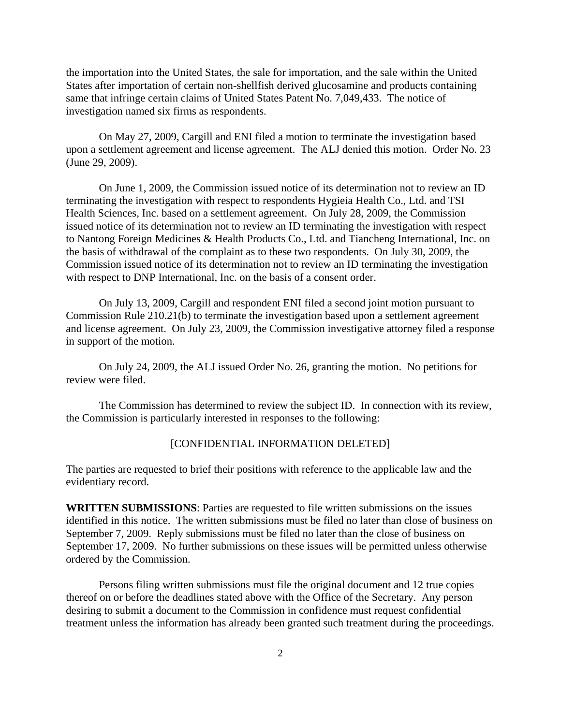the importation into the United States, the sale for importation, and the sale within the United States after importation of certain non-shellfish derived glucosamine and products containing same that infringe certain claims of United States Patent No. 7,049,433. The notice of investigation named six firms as respondents.

On May 27, 2009, Cargill and ENI filed a motion to terminate the investigation based upon a settlement agreement and license agreement. The ALJ denied this motion. Order No. 23 (June 29, 2009).

On June 1, 2009, the Commission issued notice of its determination not to review an ID terminating the investigation with respect to respondents Hygieia Health Co., Ltd. and TSI Health Sciences, Inc. based on a settlement agreement. On July 28, 2009, the Commission issued notice of its determination not to review an ID terminating the investigation with respect to Nantong Foreign Medicines & Health Products Co., Ltd. and Tiancheng International, Inc. on the basis of withdrawal of the complaint as to these two respondents. On July 30, 2009, the Commission issued notice of its determination not to review an ID terminating the investigation with respect to DNP International, Inc. on the basis of a consent order.

On July 13, 2009, Cargill and respondent ENI filed a second joint motion pursuant to Commission Rule 210.21(b) to terminate the investigation based upon a settlement agreement and license agreement. On July 23, 2009, the Commission investigative attorney filed a response in support of the motion.

On July 24, 2009, the ALJ issued Order No. 26, granting the motion. No petitions for review were filed.

The Commission has determined to review the subject ID. In connection with its review, the Commission is particularly interested in responses to the following:

## [CONFIDENTIAL INFORMATION DELETED]

The parties are requested to brief their positions with reference to the applicable law and the evidentiary record.

**WRITTEN SUBMISSIONS**: Parties are requested to file written submissions on the issues identified in this notice. The written submissions must be filed no later than close of business on September 7, 2009. Reply submissions must be filed no later than the close of business on September 17, 2009. No further submissions on these issues will be permitted unless otherwise ordered by the Commission.

Persons filing written submissions must file the original document and 12 true copies thereof on or before the deadlines stated above with the Office of the Secretary. Any person desiring to submit a document to the Commission in confidence must request confidential treatment unless the information has already been granted such treatment during the proceedings.